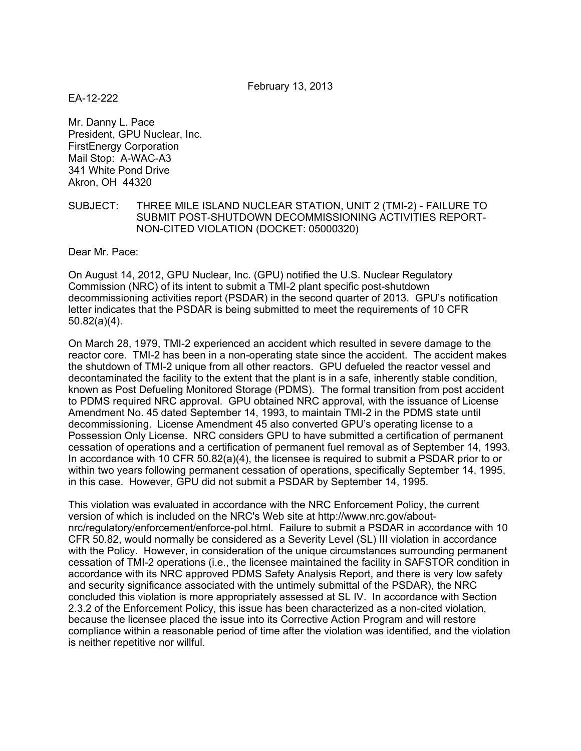EA-12-222

Mr. Danny L. Pace President, GPU Nuclear, Inc. FirstEnergy Corporation Mail Stop: A-WAC-A3 341 White Pond Drive Akron, OH 44320

# SUBJECT: THREE MILE ISLAND NUCLEAR STATION, UNIT 2 (TMI-2) - FAILURE TO SUBMIT POST-SHUTDOWN DECOMMISSIONING ACTIVITIES REPORT-NON-CITED VIOLATION (DOCKET: 05000320)

Dear Mr. Pace:

On August 14, 2012, GPU Nuclear, Inc. (GPU) notified the U.S. Nuclear Regulatory Commission (NRC) of its intent to submit a TMI-2 plant specific post-shutdown decommissioning activities report (PSDAR) in the second quarter of 2013. GPU's notification letter indicates that the PSDAR is being submitted to meet the requirements of 10 CFR 50.82(a)(4).

On March 28, 1979, TMI-2 experienced an accident which resulted in severe damage to the reactor core. TMI-2 has been in a non-operating state since the accident. The accident makes the shutdown of TMI-2 unique from all other reactors. GPU defueled the reactor vessel and decontaminated the facility to the extent that the plant is in a safe, inherently stable condition, known as Post Defueling Monitored Storage (PDMS). The formal transition from post accident to PDMS required NRC approval. GPU obtained NRC approval, with the issuance of License Amendment No. 45 dated September 14, 1993, to maintain TMI-2 in the PDMS state until decommissioning. License Amendment 45 also converted GPU's operating license to a Possession Only License. NRC considers GPU to have submitted a certification of permanent cessation of operations and a certification of permanent fuel removal as of September 14, 1993. In accordance with 10 CFR 50.82(a)(4), the licensee is required to submit a PSDAR prior to or within two years following permanent cessation of operations, specifically September 14, 1995, in this case. However, GPU did not submit a PSDAR by September 14, 1995.

This violation was evaluated in accordance with the NRC Enforcement Policy, the current version of which is included on the NRC's Web site at http://www.nrc.gov/aboutnrc/regulatory/enforcement/enforce-pol.html. Failure to submit a PSDAR in accordance with 10 CFR 50.82, would normally be considered as a Severity Level (SL) III violation in accordance with the Policy. However, in consideration of the unique circumstances surrounding permanent cessation of TMI-2 operations (i.e., the licensee maintained the facility in SAFSTOR condition in accordance with its NRC approved PDMS Safety Analysis Report, and there is very low safety and security significance associated with the untimely submittal of the PSDAR), the NRC concluded this violation is more appropriately assessed at SL IV. In accordance with Section 2.3.2 of the Enforcement Policy, this issue has been characterized as a non-cited violation, because the licensee placed the issue into its Corrective Action Program and will restore compliance within a reasonable period of time after the violation was identified, and the violation is neither repetitive nor willful.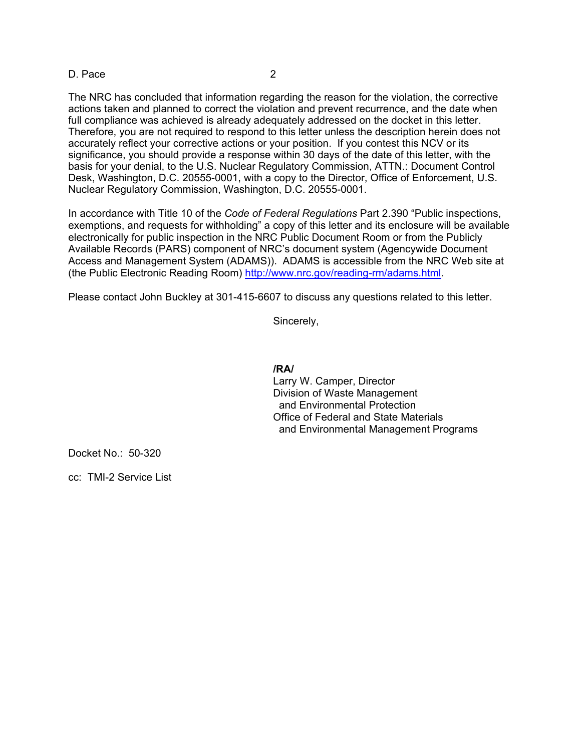#### D. Pace 2

The NRC has concluded that information regarding the reason for the violation, the corrective actions taken and planned to correct the violation and prevent recurrence, and the date when full compliance was achieved is already adequately addressed on the docket in this letter. Therefore, you are not required to respond to this letter unless the description herein does not accurately reflect your corrective actions or your position. If you contest this NCV or its significance, you should provide a response within 30 days of the date of this letter, with the basis for your denial, to the U.S. Nuclear Regulatory Commission, ATTN.: Document Control Desk, Washington, D.C. 20555-0001, with a copy to the Director, Office of Enforcement, U.S. Nuclear Regulatory Commission, Washington, D.C. 20555-0001.

In accordance with Title 10 of the *Code of Federal Regulations* Part 2.390 "Public inspections, exemptions, and requests for withholding" a copy of this letter and its enclosure will be available electronically for public inspection in the NRC Public Document Room or from the Publicly Available Records (PARS) component of NRC's document system (Agencywide Document Access and Management System (ADAMS)). ADAMS is accessible from the NRC Web site at (the Public Electronic Reading Room) http://www.nrc.gov/reading-rm/adams.html.

Please contact John Buckley at 301-415-6607 to discuss any questions related to this letter.

Sincerely,

## **/RA/**

Larry W. Camper, Director Division of Waste Management and Environmental Protection Office of Federal and State Materials and Environmental Management Programs

Docket No.: 50-320

cc: TMI-2 Service List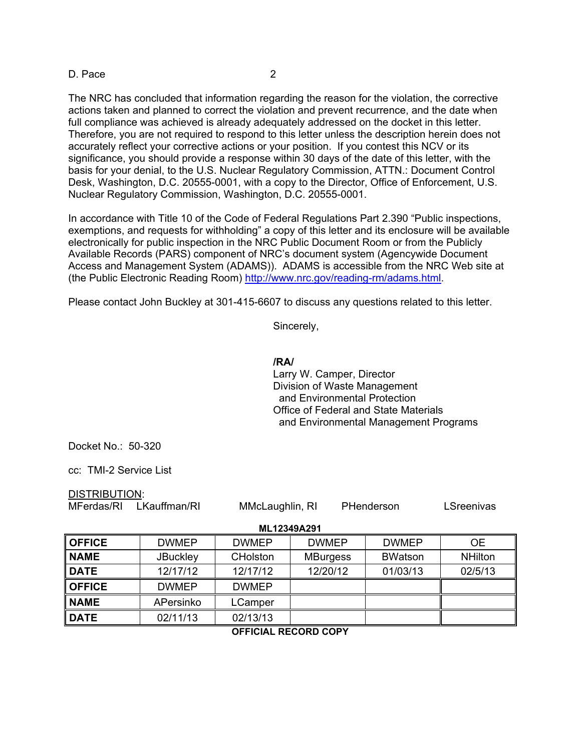## D. Pace 2

The NRC has concluded that information regarding the reason for the violation, the corrective actions taken and planned to correct the violation and prevent recurrence, and the date when full compliance was achieved is already adequately addressed on the docket in this letter. Therefore, you are not required to respond to this letter unless the description herein does not accurately reflect your corrective actions or your position. If you contest this NCV or its significance, you should provide a response within 30 days of the date of this letter, with the basis for your denial, to the U.S. Nuclear Regulatory Commission, ATTN.: Document Control Desk, Washington, D.C. 20555-0001, with a copy to the Director, Office of Enforcement, U.S. Nuclear Regulatory Commission, Washington, D.C. 20555-0001.

In accordance with Title 10 of the Code of Federal Regulations Part 2.390 "Public inspections, exemptions, and requests for withholding" a copy of this letter and its enclosure will be available electronically for public inspection in the NRC Public Document Room or from the Publicly Available Records (PARS) component of NRC's document system (Agencywide Document Access and Management System (ADAMS)). ADAMS is accessible from the NRC Web site at (the Public Electronic Reading Room) http://www.nrc.gov/reading-rm/adams.html.

Please contact John Buckley at 301-415-6607 to discuss any questions related to this letter.

Sincerely,

## **/RA/**

Larry W. Camper, Director Division of Waste Management and Environmental Protection Office of Federal and State Materials and Environmental Management Programs

Docket No $\cdot$  50-320

cc: TMI-2 Service List

## DISTRIBUTION:

MFerdas/RI LKauffman/RI MMcLaughlin, RI PHenderson LSreenivas

#### **ML12349A291**

| <b>OFFICE</b> | <b>DWMEP</b>    | <b>DWMEP</b>    | <b>DWMEP</b>    | <b>DWMEP</b>   | <b>OE</b>      |
|---------------|-----------------|-----------------|-----------------|----------------|----------------|
| <b>NAME</b>   | <b>JBuckley</b> | <b>CHolston</b> | <b>MBurgess</b> | <b>BWatson</b> | <b>NHilton</b> |
| <b>DATE</b>   | 12/17/12        | 12/17/12        | 12/20/12        | 01/03/13       | 02/5/13        |
| <b>OFFICE</b> | <b>DWMEP</b>    | <b>DWMEP</b>    |                 |                |                |
| <b>NAME</b>   | APersinko       | LCamper         |                 |                |                |
| <b>DATE</b>   | 02/11/13        | 02/13/13        |                 |                |                |

# **OFFICIAL RECORD COPY**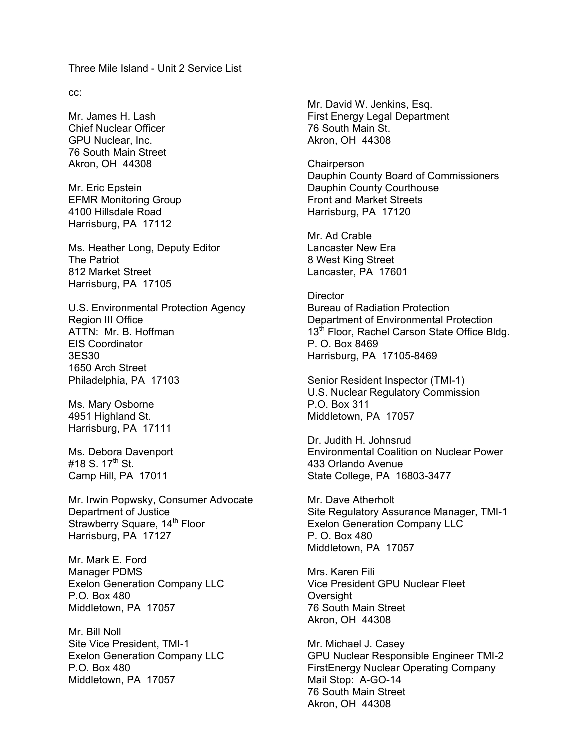Three Mile Island - Unit 2 Service List

cc:

Mr. James H. Lash Chief Nuclear Officer GPU Nuclear, Inc. 76 South Main Street Akron, OH 44308

Mr. Eric Epstein EFMR Monitoring Group 4100 Hillsdale Road Harrisburg, PA 17112

Ms. Heather Long, Deputy Editor The Patriot 812 Market Street Harrisburg, PA 17105

U.S. Environmental Protection Agency Region III Office ATTN: Mr. B. Hoffman EIS Coordinator 3ES30 1650 Arch Street Philadelphia, PA 17103

Ms. Mary Osborne 4951 Highland St. Harrisburg, PA 17111

Ms. Debora Davenport #18 S. 17<sup>th</sup> St. Camp Hill, PA 17011

Mr. Irwin Popwsky, Consumer Advocate Department of Justice Strawberry Square, 14<sup>th</sup> Floor Harrisburg, PA 17127

Mr. Mark E. Ford Manager PDMS Exelon Generation Company LLC P.O. Box 480 Middletown, PA 17057

Mr. Bill Noll Site Vice President, TMI-1 Exelon Generation Company LLC P.O. Box 480 Middletown, PA 17057

Mr. David W. Jenkins, Esq. First Energy Legal Department 76 South Main St. Akron, OH 44308

**Chairperson** Dauphin County Board of Commissioners Dauphin County Courthouse Front and Market Streets Harrisburg, PA 17120

Mr. Ad Crable Lancaster New Era 8 West King Street Lancaster, PA 17601

**Director** Bureau of Radiation Protection Department of Environmental Protection 13<sup>th</sup> Floor, Rachel Carson State Office Bldg. P. O. Box 8469 Harrisburg, PA 17105-8469

Senior Resident Inspector (TMI-1) U.S. Nuclear Regulatory Commission P.O. Box 311 Middletown, PA 17057

Dr. Judith H. Johnsrud Environmental Coalition on Nuclear Power 433 Orlando Avenue State College, PA 16803-3477

Mr. Dave Atherholt Site Regulatory Assurance Manager, TMI-1 Exelon Generation Company LLC P. O. Box 480 Middletown, PA 17057

Mrs. Karen Fili Vice President GPU Nuclear Fleet **Oversight** 76 South Main Street Akron, OH 44308

Mr. Michael J. Casey GPU Nuclear Responsible Engineer TMI-2 FirstEnergy Nuclear Operating Company Mail Stop: A-GO-14 76 South Main Street Akron, OH 44308